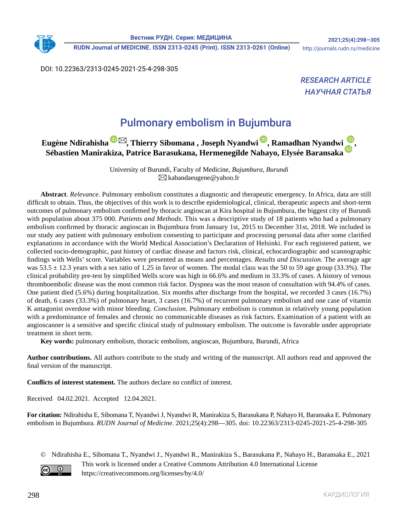**RUDN Journal of MEDICINE. ISSN 2313-0245 (Print). ISSN 2313-0261 (Online)** http://journals.rudn.ru/medicine

DOI: 10.22363/2313-0245-2021-25-4-298-305

**RESEARCH ARTICLE** *НАУЧНАЯ СТАТЬЯ*

# Pulmonary embolism in Bujumbura

### **Eugène Ndirahish[a](https://orcid.org/0000-0003-3243-1967) [,](mailto:kabandaeugene%40yahoo.fr?subject=Eug%C3%A8ne%20Ndirahisha) Thierry Sibomana , Joseph Nyandwi [,](https://orcid.org/0000-0002-3715-7891) Ramadhan Nyandwi[,](https://orcid.org/0000-0003-4371-425X) Sébastien Manirakiza, Patrice Barasukana, Hermenegilde Nahayo, Elysée Baransaka**

University of Burundi, Faculty of Medicine, *Bujumbura, Burundi*  $\boxtimes$ kabandaeugene@yahoo.fr

**Abstract**. *Relevance*. Pulmonary embolism constitutes a diagnostic and therapeutic emergency. In Africa, data are still difficult to obtain. Thus, the objectives of this work is to describe epidemiological, clinical, therapeutic aspects and short-term outcomes of pulmonary embolism confirmed by thoracic angioscan at Kira hospital in Bujumbura, the biggest city of Burundi with population about 375 000. *Patients and Methods*. This was a descriptive study of 18 patients who had a pulmonary embolism confirmed by thoracic angioscan in Bujumbura from January 1st, 2015 to December 31st, 2018. We included in our study any patient with pulmonary embolism consenting to participate and processing personal data after some clarified explanations in accordance with the World Medical Association's Declaration of Helsinki. For each registered patient, we collected socio-demographic, past history of cardiac disease and factors risk, clinical, echocardiographic and scannographic findings with Wells' score. Variables were presented as means and percentages. *Results and Discussion.* The average age was  $53.5 \pm 12.3$  years with a sex ratio of 1.25 in favor of women. The modal class was the 50 to 59 age group (33.3%). The clinical probability pre-test by simplified Wells score was high in 66.6% and medium in 33.3% of cases. A history of venous thromboembolic disease was the most common risk factor. Dyspnea was the most reason of consultation with 94.4% of cases. One patient died (5.6%) during hospitalization. Six months after discharge from the hospital, we recorded 3 cases (16.7%) of death, 6 cases (33.3%) of pulmonary heart, 3 cases (16.7%) of recurrent pulmonary embolism and one case of vitamin K antagonist overdose with minor bleeding. *Conclusion.* Pulmonary embolism is common in relatively young population with a predominance of females and chronic no communicable diseases as risk factors. Examination of a patient with an angioscanner is a sensitive and specific clinical study of pulmonary embolism. The outcome is favorable under appropriate treatment in short term.

**Key words:** pulmonary embolism, thoracic embolism, angioscan, Bujumbura, Burundi, Africa

**Author contributions.** All authors contribute to the study and writing of the manuscript. All authors read and approved the final version of the manuscript.

**Conflicts of interest statement.** The authors declare no conflict of interest.

Received 04.02.2021. Accepted 12.04.2021.

**For citation:** Ndirahisha E, Sibomana T, Nyandwi J, Nyandwi R, Manirakiza S, Barasukana P, Nahayo H, Baransaka E. Pulmonary embolism in Bujumbura. *RUDN Journal of Medicine*. 2021;25(4):298—305. doi: 10.22363/2313-0245-2021-25-4-298-305

© Ndirahisha E., Sibomana T., Nyandwi J., Nyandwi R., Manirakiza S., Barasukana P., Nahayo H., Baransaka E., 2021



This work is licensed under a Creative Commons Attribution 4.0 International License https://creativecommons.org/licenses/by/4.0/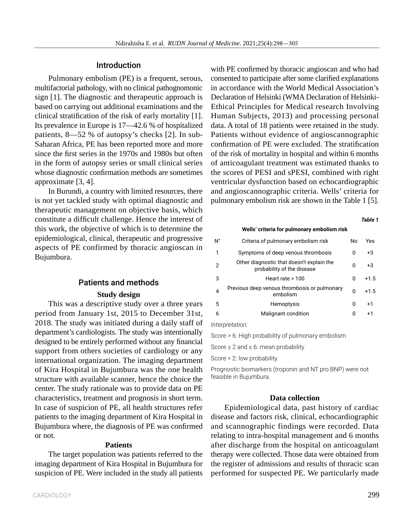### Introduction

Pulmonary embolism (PE) is a frequent, serous, multifactorial pathology, with no clinical pathognomonic sign [1]. The diagnostic and therapeutic approach is based on carrying out additional examinations and the clinical stratification of the risk of early mortality [1]. Its prevalence in Europe is 17—42.6 % of hospitalized patients, 8—52 % of autopsy's checks [2]. In sub-Saharan Africa, PE has been reported more and more since the first series in the 1970s and 1980s but often in the form of autopsy series or small clinical series whose diagnostic confirmation methods are sometimes approximate [3, 4].

In Burundi, a country with limited resources, there is not yet tackled study with optimal diagnostic and therapeutic management on objective basis, which constitute a difficult challenge. Hence the interest of this work, the objective of which is to determine the epidemiological, clinical, therapeutic and progressive aspects of PE confirmed by thoracic angioscan in Bujumbura.

### Patients and methods

### **Study design**

This was a descriptive study over a three years period from January 1st, 2015 to December 31st, 2018. The study was initiated during a daily staff of department's cardiologists. The study was intentionally designed to be entirely performed without any financial support from others societies of cardiology or any international organization. The imaging department of Kira Hospital in Bujumbura was the one health structure with available scanner, hence the choice the center. The study rationale was to provide data on PE characteristics, treatment and prognosis in short term. In case of suspicion of PE, all health structures refer patients to the imaging department of Kira Hospital in Bujumbura where, the diagnosis of PE was confirmed or not.

### **Patients**

The target population was patients referred to the imaging department of Kira Hospital in Bujumbura for suspicion of PE. Were included in the study all patients with PE confirmed by thoracic angioscan and who had consented to participate after some clarified explanations in accordance with the World Medical Association's Declaration of Helsinki (WMA Declaration of Helsinki-Ethical Principles for Medical research Involving Human Subjects, 2013) and processing personal data. A total of 18 patients were retained in the study. Patients without evidence of angioscannographic confirmation of PE were excluded. The stratification of the risk of mortality in hospital and within 6 months of anticoagulant treatment was estimated thanks to the scores of PESI and sPESI, combined with right ventricular dysfunction based on echocardiographic and angioscannographic criteria. Wells' criteria for pulmonary embolism risk are shown in the Table 1 [5].

#### *Table 1*

**Wells' criteria for pulmonary embolism risk**

| $N^{\circ}$ | Criteria of pulmonary embolism risk                                     | No | Yes    |
|-------------|-------------------------------------------------------------------------|----|--------|
| 1           | Symptoms of deep venous thrombosis                                      | O  | $+3$   |
| 2           | Other diagnostic that doesn't explain the<br>probability of the disease | O  | $+3$   |
| 3           | Heart rate $>100$                                                       | n  | $+1.5$ |
| 4           | Previous deep venous thrombosis or pulmonary<br>embolism                | U  | $+1.5$ |
| 5           | Hemoptysis                                                              | n  | $+1$   |
| 6           | Malignant condition                                                     | O  | $+1$   |
|             |                                                                         |    |        |

*Interpretation:*

Score > 6: High probability of pulmonary embolism

Score ≥ 2 and ≤ 6: mean probability

Score < 2: low probability

Prognostic biomarkers (troponin and NT pro BNP) were not feasible in Bujumbura.

### **Data collection**

Epidemiological data, past history of cardiac disease and factors risk, clinical, echocardiographic and scannographic findings were recorded. Data relating to intra-hospital management and 6 months after discharge from the hospital on anticoagulant therapy were collected. Those data were obtained from the register of admissions and results of thoracic scan performed for suspected PE. We particularly made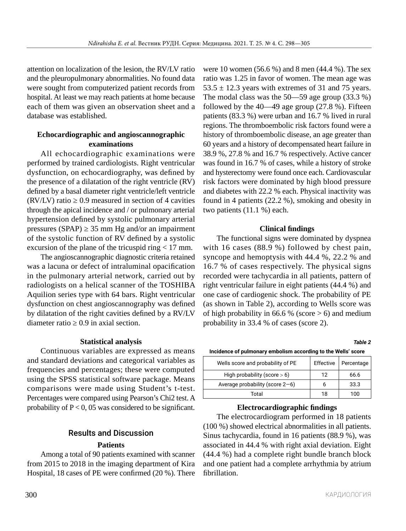attention on localization of the lesion, the RV/LV ratio and the pleuropulmonary abnormalities. No found data were sought from computerized patient records from hospital. At least we may reach patients at home because each of them was given an observation sheet and a database was established.

### **Echocardiographic and angioscannographic examinations**

All echocardiographic examinations were performed by trained cardiologists. Right ventricular dysfunction, on echocardiography, was defined by the presence of a dilatation of the right ventricle (RV) defined by a basal diameter right ventricle/left ventricle (RV/LV) ratio  $\geq 0.9$  measured in section of 4 cavities through the apical incidence and / or pulmonary arterial hypertension defined by systolic pulmonary arterial pressures (SPAP)  $\geq$  35 mm Hg and/or an impairment of the systolic function of RV defined by a systolic excursion of the plane of the tricuspid ring  $\leq$  17 mm.

The angioscannographic diagnostic criteria retained was a lacuna or defect of intraluminal opacification in the pulmonary arterial network, carried out by radiologists on a helical scanner of the TOSHIBA Aquilion series type with 64 bars. Right ventricular dysfunction on chest angioscannography was defined by dilatation of the right cavities defined by a RV/LV diameter ratio  $\geq 0.9$  in axial section.

### **Statistical analysis**

Continuous variables are expressed as means and standard deviations and categorical variables as frequencies and percentages; these were computed using the SPSS statistical software package. Means comparisons were made using Student's t-test. Percentages were compared using Pearson's Chi2 test. A probability of  $P < 0$ , 05 was considered to be significant.

## Results and Discussion

### **Patients**

Among a total of 90 patients examined with scanner from 2015 to 2018 in the imaging department of Kira Hospital, 18 cases of PE were confirmed (20 %). There were 10 women (56.6 %) and 8 men (44.4 %). The sex ratio was 1.25 in favor of women. The mean age was 53.5  $\pm$  12.3 years with extremes of 31 and 75 years. The modal class was the 50—59 age group (33.3 %) followed by the  $40-49$  age group  $(27.8\%)$ . Fifteen patients (83.3 %) were urban and 16.7 % lived in rural regions. The thromboembolic risk factors found were a history of thromboembolic disease, an age greater than 60 years and a history of decompensated heart failure in 38.9 %, 27.8 % and 16.7 % respectively. Active cancer was found in 16.7 % of cases, while a history of stroke and hysterectomy were found once each. Cardiovascular risk factors were dominated by high blood pressure and diabetes with 22.2 % each. Physical inactivity was found in 4 patients (22.2 %), smoking and obesity in two patients (11.1 %) each.

### **Clinical findings**

The functional signs were dominated by dyspnea with 16 cases (88.9 %) followed by chest pain, syncope and hemoptysis with 44.4 %, 22.2 % and 16.7 % of cases respectively. The physical signs recorded were tachycardia in all patients, pattern of right ventricular failure in eight patients (44.4 %) and one case of cardiogenic shock. The probability of PE (as shown in Table 2), according to Wells score was of high probability in 66.6 % (score  $> 6$ ) and medium probability in 33.4 % of cases (score 2).

*Table 2*

| Incidence of pulmonary embolism according to the Wells' score |  |
|---------------------------------------------------------------|--|
|---------------------------------------------------------------|--|

| Wells score and probability of PE  | Effective | Percentage |
|------------------------------------|-----------|------------|
| High probability (score $> 6$ )    | 12        | 66.6       |
| Average probability (score $2-6$ ) | ь         | 33.3       |
| Total                              | 18        | 100        |

### **Electrocardiographic findings**

The electrocardiogram performed in 18 patients (100 %) showed electrical abnormalities in all patients. Sinus tachycardia, found in 16 patients (88.9 %), was associated in 44.4 % with right axial deviation. Eight (44.4 %) had a complete right bundle branch block and one patient had a complete arrhythmia by atrium fibrillation.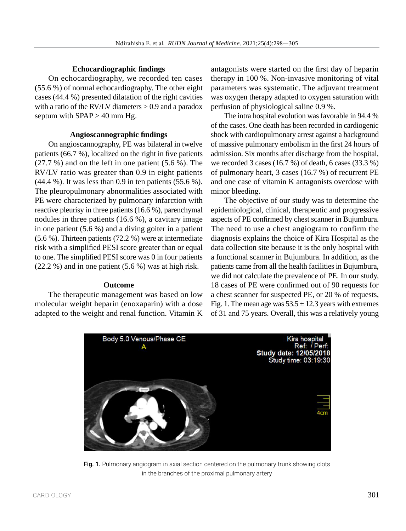### **Echocardiographic findings**

On echocardiography, we recorded ten cases (55.6 %) of normal echocardiography. The other eight cases (44.4 %) presented dilatation of the right cavities with a ratio of the RV/LV diameters  $> 0.9$  and a paradox septum with SPAP > 40 mm Hg.

### **Angioscannographic findings**

On angioscannography, PE was bilateral in twelve patients (66.7 %), localized on the right in five patients  $(27.7 \%)$  and on the left in one patient  $(5.6 \%)$ . The RV/LV ratio was greater than 0.9 in eight patients (44.4 %). It was less than 0.9 in ten patients (55.6 %). The pleuropulmonary abnormalities associated with PE were characterized by pulmonary infarction with reactive pleurisy in three patients (16.6 %), parenchymal nodules in three patients (16.6 %), a cavitary image in one patient (5.6 %) and a diving goiter in a patient (5.6 %). Thirteen patients (72.2 %) were at intermediate risk with a simplified PESI score greater than or equal to one. The simplified PESI score was 0 in four patients (22.2 %) and in one patient (5.6 %) was at high risk.

### **Outcome**

The therapeutic management was based on low molecular weight heparin (enoxaparin) with a dose adapted to the weight and renal function. Vitamin K

antagonists were started on the first day of heparin therapy in 100 %. Non-invasive monitoring of vital parameters was systematic. The adjuvant treatment was oxygen therapy adapted to oxygen saturation with perfusion of physiological saline 0.9 %.

The intra hospital evolution was favorable in 94.4 % of the cases. One death has been recorded in cardiogenic shock with cardiopulmonary arrest against a background of massive pulmonary embolism in the first 24 hours of admission. Six months after discharge from the hospital, we recorded 3 cases (16.7 %) of death, 6 cases (33.3 %) of pulmonary heart, 3 cases (16.7 %) of recurrent PE and one case of vitamin K antagonists overdose with minor bleeding.

The objective of our study was to determine the epidemiological, clinical, therapeutic and progressive aspects of PE confirmed by chest scanner in Bujumbura. The need to use a chest angiogram to confirm the diagnosis explains the choice of Kira Hospital as the data collection site because it is the only hospital with a functional scanner in Bujumbura. In addition, as the patients came from all the health facilities in Bujumbura, we did not calculate the prevalence of PE. In our study, 18 cases of PE were confirmed out of 90 requests for a chest scanner for suspected PE, or 20 % of requests, Fig. 1. The mean age was  $53.5 \pm 12.3$  years with extremes of 31 and 75 years. Overall, this was a relatively young



Fig. 1. Pulmonary angiogram in axial section centered on the pulmonary trunk showing clots in the branches of the proximal pulmonary artery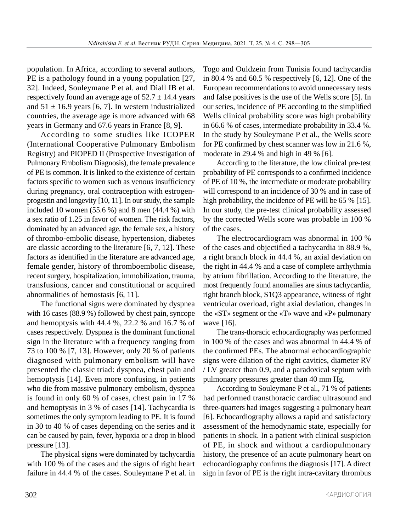population. In Africa, according to several authors, PE is a pathology found in a young population [27, 32]. Indeed, Souleymane P et al. and Diall IB et al. respectively found an average age of  $52.7 \pm 14.4$  years and  $51 \pm 16.9$  years [6, 7]. In western industrialized countries, the average age is more advanced with 68 years in Germany and 67.6 years in France [8, 9].

According to some studies like ICOPER (International Cooperative Pulmonary Embolism Registry) and PIOPED II (Prospective Investigation of Pulmonary Embolism Diagnosis), the female prevalence of PE is common. It is linked to the existence of certain factors specific to women such as venous insufficiency during pregnancy, oral contraception with estrogenprogestin and longevity [10, 11]. In our study, the sample included 10 women (55.6 %) and 8 men (44.4 %) with a sex ratio of 1.25 in favor of women. The risk factors, dominated by an advanced age, the female sex, a history of thrombo-embolic disease, hypertension, diabetes are classic according to the literature [6, 7, 12]. These factors as identified in the literature are advanced age, female gender, history of thromboembolic disease, recent surgery, hospitalization, immobilization, trauma, transfusions, cancer and constitutional or acquired abnormalities of hemostasis [6, 11].

The functional signs were dominated by dyspnea with 16 cases (88.9 %) followed by chest pain, syncope and hemoptysis with 44.4 %, 22.2 % and 16.7 % of cases respectively. Dyspnea is the dominant functional sign in the literature with a frequency ranging from 73 to 100 % [7, 13]. However, only 20 % of patients diagnosed with pulmonary embolism will have presented the classic triad: dyspnea, chest pain and hemoptysis [14]. Even more confusing, in patients who die from massive pulmonary embolism, dyspnea is found in only 60 % of cases, chest pain in 17 % and hemoptysis in 3 % of cases [14]. Tachycardia is sometimes the only symptom leading to PE. It is found in 30 to 40 % of cases depending on the series and it can be caused by pain, fever, hypoxia or a drop in blood pressure [13].

The physical signs were dominated by tachycardia with 100 % of the cases and the signs of right heart failure in 44.4 % of the cases. Souleymane P et al. in Togo and Ouldzein from Tunisia found tachycardia in 80.4 % and 60.5 % respectively [6, 12]. One of the European recommendations to avoid unnecessary tests and false positives is the use of the Wells score [5]. In our series, incidence of PE according to the simplified Wells clinical probability score was high probability in 66.6 % of cases, intermediate probability in 33.4 %. In the study by Souleymane P et al., the Wells score for PE confirmed by chest scanner was low in 21.6 %, moderate in 29.4 % and high in 49 % [6].

According to the literature, the low clinical pre-test probability of PE corresponds to a confirmed incidence of PE of 10 %, the intermediate or moderate probability will correspond to an incidence of 30 % and in case of high probability, the incidence of PE will be 65 % [15]. In our study, the pre-test clinical probability assessed by the corrected Wells score was probable in 100 % of the cases.

The electrocardiogram was abnormal in 100 % of the cases and objectified a tachycardia in 88.9 %, a right branch block in 44.4 %, an axial deviation on the right in 44.4 % and a case of complete arrhythmia by atrium fibrillation. According to the literature, the most frequently found anomalies are sinus tachycardia, right branch block, S1Q3 appearance, witness of right ventricular overload, right axial deviation, changes in the «ST» segment or the «T» wave and «P» pulmonary wave [16].

The trans-thoracic echocardiography was performed in 100 % of the cases and was abnormal in 44.4 % of the confirmed PEs. The abnormal echocardiographic signs were dilation of the right cavities, diameter RV / LV greater than 0.9, and a paradoxical septum with pulmonary pressures greater than 40 mm Hg.

According to Souleymane P et al., 71 % of patients had performed transthoracic cardiac ultrasound and three-quarters had images suggesting a pulmonary heart [6]. Echocardiography allows a rapid and satisfactory assessment of the hemodynamic state, especially for patients in shock. In a patient with clinical suspicion of PE, in shock and without a cardiopulmonary history, the presence of an acute pulmonary heart on echocardiography confirms the diagnosis [17]. A direct sign in favor of PE is the right intra-cavitary thrombus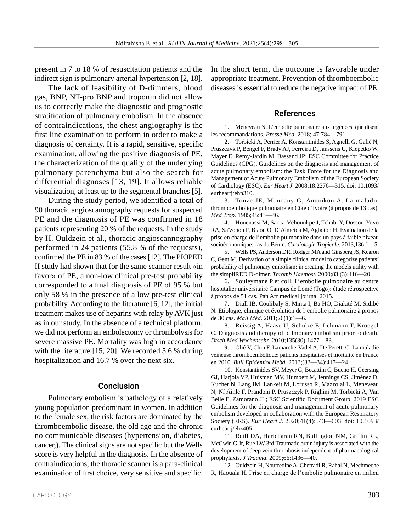present in 7 to 18 % of resuscitation patients and the indirect sign is pulmonary arterial hypertension [2, 18].

The lack of feasibility of D-dimmers, blood gas, BNP, NT‑pro BNP and troponin did not allow us to correctly make the diagnostic and prognostic stratification of pulmonary embolism. In the absence of contraindications, the chest angiography is the first line examination to perform in order to make a diagnosis of certainty. It is a rapid, sensitive, specific examination, allowing the positive diagnosis of PE, the characterization of the quality of the underlying pulmonary parenchyma but also the search for differential diagnoses [13, 19]. It allows reliable visualization, at least up to the segmental branches [5].

During the study period, we identified a total of 90 thoracic angioscannography requests for suspected PE and the diagnosis of PE was confirmed in 18 patients representing 20 % of the requests. In the study by H. Ouldzein et al., thoracic angioscannography performed in 24 patients (55.8 % of the requests), confirmed the PE in 83 % of the cases [12]. The PIOPED II study had shown that for the same scanner result «in favor» of PE, a non-low clinical pre-test probability corresponded to a final diagnosis of PE of 95 % but only 58 % in the presence of a low pre-test clinical probability. According to the literature [6, 12], the initial treatment makes use of heparins with relay by AVK just as in our study. In the absence of a technical platform, we did not perform an embolectomy or thrombolysis for severe massive PE. Mortality was high in accordance with the literature [15, 20]. We recorded 5.6 % during hospitalization and 16.7 % over the next six.

### Conclusion

Pulmonary embolism is pathology of a relatively young population predominant in women. In addition to the female sex, the risk factors are dominated by the thromboembolic disease, the old age and the chronic no communicable diseases (hypertension, diabetes, cancer,). The clinical signs are not specific but the Wells score is very helpful in the diagnosis. In the absence of contraindications, the thoracic scanner is a para-clinical examination of first choice, very sensitive and specific. In the short term, the outcome is favorable under appropriate treatment. Prevention of thromboembolic diseases is essential to reduce the negative impact of PE.

#### References

1. Meneveau N. L'embolie pulmonaire aux urgences: que disent les recommandations. *Presse Med*. 2018; 47:784—791.

2. Torbicki A, Perrier A, Konstantinides S, Agnelli G, Galiè N, Pruszczyk P, Bengel F, Brady AJ, Ferreira D, Janssens U, Klepetko W, Mayer E, Remy-Jardin M, Bassand JP; ESC Committee for Practice Guidelines (CPG). Guidelines on the diagnosis and management of acute pulmonary embolism: the Task Force for the Diagnosis and Management of Acute Pulmonary Embolism of the European Society of Cardiology (ESC). *Eur Heart J.* 2008;18:2276—315. doi: 10.1093/ eurheartj/ehn310.

3. Touze JE, Moncany G, Amonkou A. La maladie thromboembolique pulmonaire en Côte d'Ivoire (à propos de 13 cas). *Med Trop.* 1985;45:43—46.

4. Houenassi M, Sacca-Véhounkpe J, Tchabi Y, Dossou-Yovo RA, Saïzonou F, Biaou O, D'Almeida M, Agboton H. Evaluation de la prise en charge de l'embolie pulmonaire dans un pays à faible niveau socioéconomique: cas du Bénin. *Cardiologie Tropicale*. 2013;136:1—5.

5. Wells PS, Anderson DR, Rodger MA and Ginsberg JS, Kearon C, Gent M. Derivation of a simple clinical model to categorize patients' probability of pulmonary embolism: in creating the models utility with the simpliRED D‑dimer. *Thromb Haemost*. 2000;83 (3):416—20.

6. Souleymane P et coll. L'embolie pulmonaire au centre hospitalier universitaire Campus de Lomé (Togo): étude rétrospective à propos de 51 cas. Pan Afr medical journal 2015.

7. Diall IB, Coulibaly S, Minta I, Ba HO, Diakité M, Sidibé N. Etiologie, clinique et évolution de l'embolie pulmonaire à propos de 30 cas. *Mali Méd*. 2011;26(1):1—6.

8. Reissig A, Haase U, Schulze E, Lehmann T, Kroegel C. Diagnosis and therapy of pulmonary embolism prior to death. *Dtsch Med Wochenschr*. 2010;135(30):1477—83.

9. Olié V, Chin F, Lamarche-Vadel A, De Peretti C. La maladie veineuse thromboembolique: patients hospitalisés et mortalité en France en 2010. *Bull Epidémiol Hebd*. 2013;(33—34):417—24.

10. Konstantinides SV, Meyer G, Becattini C, Bueno H, Geersing GJ, Harjola VP, Huisman MV, Humbert M, Jennings CS, Jiménez D, Kucher N, Lang IM, Lankeit M, Lorusso R, Mazzolai L, Meneveau N, Ní Áinle F, Prandoni P, Pruszczyk P, Righini M, Torbicki A, Van Belle E, Zamorano JL; ESC Scientific Document Group. 2019 ESC Guidelines for the diagnosis and management of acute pulmonary embolism developed in collaboration with the European Respiratory Society (ERS). *Eur Heart J*. 2020;41(4):543—603. doi: 10.1093/ eurheartj/ehz405.

11. Reiff DA, Haricharan RN, Bullington NM, Griffin RL, McGwin G Jr, Rue LW 3rd.Traumatic brain injury is associated with the development of deep vein thrombosis independent of pharmacological prophylaxis. *J Trauma*. 2009;66:1436—40.

12. Ouldzein H, Nourredine A, Cherradi R, Rahal N, Mechmeche R, Haouala H. Prise en charge de l'embolie pulmonaire en milieu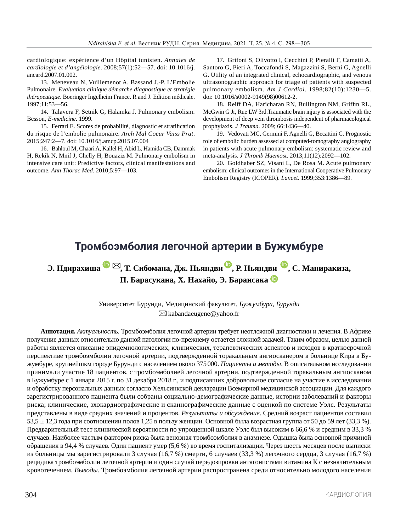cardiologique: expérience d'un Hôpital tunisien. *Annales de cardiologie et d'angéiologie*. 2008;57(1):52—57. doi: 10.1016/j. ancard.2007.01.002.

13. Meneveau N, Vuillemenot A, Bassand J.-P. L'Embolie Pulmonaire. *Evaluation clinique démarche diagnostique et stratégie thérapeutique*. Boeringer Ingelheim France. R and J. Edition médicale. 1997;11:53—56.

14. Talavera F, Setnik G, Halamka J. Pulmonary embolism. Besson, *E‑medicine*. 1999.

15. Ferrari E. Scores de probabilité, diagnostic et stratification du risque de l'embolie pulmonaire. *Arch Mal Coeur Vaiss Prat*. 2015;247:2—7. doi: 10.1016/j.amcp.2015.07.004

16. Bahloul M, Chaari A, Kallel H, Abid L, Hamida CB, Dammak H, Rekik N, Mnif J, Chelly H, Bouaziz M. Pulmonary embolism in intensive care unit: Predictive factors, clinical manifestations and outcome. *Ann Thorac Med*. 2010;5:97—103.

17. Grifoni S, Olivotto I, Cecchini P, Pieralli F, Camaiti A, Santoro G, Pieri A, Toccafondi S, Magazzini S, Berni G, Agnelli G. Utility of an integrated clinical, echocardiographic, and venous ultrasonographic approach for triage of patients with suspected pulmonary embolism. *Am J Cardiol*. 1998;82(10):1230—5. doi: 10.1016/s0002-9149(98)00612-2.

18. Reiff DA, Haricharan RN, Bullington NM, Griffin RL, McGwin G Jr, Rue LW 3rd.Traumatic brain injury is associated with the development of deep vein thrombosis independent of pharmacological prophylaxis. *J Trauma*. 2009; 66:1436—40.

19. Vedovati MC, Germini F, Agnelli G, Becattini C. Prognostic role of embolic burden assessed at computed-tomography angiography in patients with acute pulmonary embolism: systematic review and meta-analysis. *J Thromb Haemost*. 2013;11(12):2092—102.

20. Goldhaber SZ, Visani L, De Rosa M. Acute pulmonary embolism: clinical outcomes in the International Cooperative Pulmonary Embolism Registry (ICOPER). *Lancet*. 1999;353:1386—89.

## **Тромбоэмболия легочной артерии в Бужумбуре**

**Э. Ндирахиша[,](mailto:kabandaeugene%40yahoo.fr?subject=Eug%C3%A8ne%20Ndirahisha) Т. Сибомана, Дж. Ньяндви [,](https://orcid.org/0000-0002-3715-7891) Р. Ньяндви [,](https://orcid.org/0000-0003-4371-425X) С. Маниракиза, П. Барасукана, Х. Нахайо, Э. Барансака**

> Университет Бурунди, Медицинский факультет, *Бужумбура, Бурунди*  $\boxtimes$ kabandaeugene@yahoo.fr

**Аннотация.** *Актуальность.* Тромбоэмболия легочной артерии требует неотложной диагностики и лечения. В Африке получение данных относительно данной патологии по-прежнему остается сложной задачей. Таким образом, целью данной работы является описание эпидемиологических, клинических, терапевтических аспектов и исходов в краткосрочной перспективе тромбоэмболии легочной артерии, подтвержденной торакальным ангиосканером в больнице Кира в Бужумбуре, крупнейшкм городе Бурунди с населением около 375000. *Пациенты и методы*. В описательном исследовании принимали участие 18 пациентов, с тромбоэмболией легочной артерии, подтвержденной торакальным ангиосканом в Бужумбуре с 1 января 2015 г. по 31 декабря 2018 г., и подписавших добровольное согласие на участие в исследовании и обработку персональных данных согласно Хельсинкской декларации Всемирной медицинской ассоциации. Для каждого зарегистрированного пациента были собраны социально-демографические данные, истории заболеваний и факторы риска; клинические, эхокардиографические и сканнографические данные с оценкой по системе Уэлс. Результаты представлены в виде средних значений и процентов. *Результаты и обсуждение*. Средний возраст пациентов составил  $53.5 \pm 12.3$  года при соотношении полов 1,25 в пользу женщин. Основной была возрастная группа от 50 до 59 лет (33,3 %). Предварительный тест клинической вероятности по упрощенной шкале Уэлс был высоким в 66,6 % и средним в 33,3 % случаев. Наиболее частым фактором риска была венозная тромбоэмболия в анамнезе. Одышка была основной причиной обращения в 94,4 % случаев. Один пациент умер (5,6 %) во время госпитализации. Через шесть месяцев после выписки из больницы мы зарегистрировали 3 случая (16,7 %) смерти, 6 случаев (33,3 %) легочного сердца, 3 случая (16,7 %) рецидива тромбоэмболии легочной артерии и один случай передозировки антагонистами витамина К с незначительным кровотечением. *Выводы*. Тромбоэмболия легочной артерии распространена среди относительно молодого населения